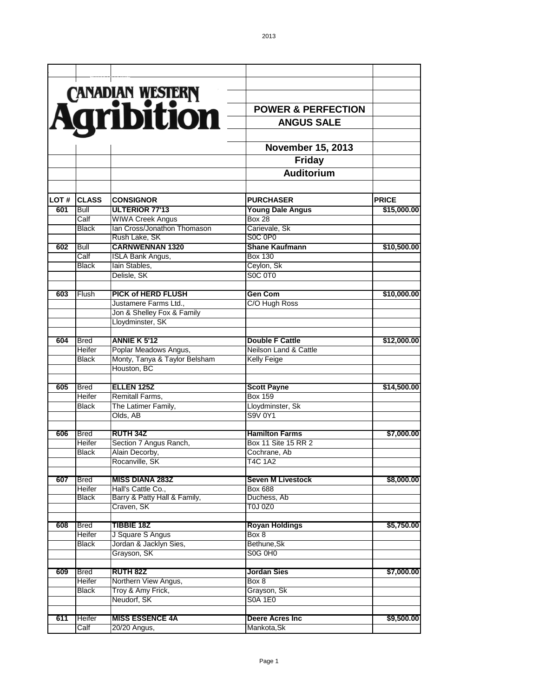|      |              |                               | <b>POWER &amp; PERFECTION</b>      |              |
|------|--------------|-------------------------------|------------------------------------|--------------|
|      |              | CANADIAN WESTERN              | <b>ANGUS SALE</b>                  |              |
|      |              |                               |                                    |              |
|      |              |                               | <b>November 15, 2013</b>           |              |
|      |              |                               | <b>Friday</b><br><b>Auditorium</b> |              |
|      |              |                               |                                    |              |
| LOT# | <b>CLASS</b> | <b>CONSIGNOR</b>              | <b>PURCHASER</b>                   | <b>PRICE</b> |
| 601  | Bull         | <b>ULTERIOR 77'13</b>         | <b>Young Dale Angus</b>            | \$15,000.00  |
|      | Calf         | <b>WIWA Creek Angus</b>       | <b>Box 28</b>                      |              |
|      | <b>Black</b> | Ian Cross/Jonathon Thomason   | Carievale, Sk                      |              |
|      |              | Rush Lake, SK                 | S0C 0P0                            |              |
| 602  | Bull         | <b>CARNWENNAN 1320</b>        | <b>Shane Kaufmann</b>              | \$10,500.00  |
|      | Calf         | <b>ISLA Bank Angus,</b>       | <b>Box 130</b>                     |              |
|      | <b>Black</b> | lain Stables,                 | Ceylon, Sk                         |              |
|      |              | Delisle, SK                   | SOC OTO                            |              |
| 603  | Flush        | <b>PICK of HERD FLUSH</b>     | <b>Gen Com</b>                     | \$10,000.00  |
|      |              | Justamere Farms Ltd.,         | C/O Hugh Ross                      |              |
|      |              | Jon & Shelley Fox & Family    |                                    |              |
|      |              | Lloydminster, SK              |                                    |              |
| 604  | <b>Bred</b>  | <b>ANNIE K 5'12</b>           | <b>Double F Cattle</b>             | \$12,000.00  |
|      | Heifer       | Poplar Meadows Angus,         | <b>Neilson Land &amp; Cattle</b>   |              |
|      | <b>Black</b> | Monty, Tanya & Taylor Belsham | <b>Kelly Feige</b>                 |              |
|      |              | Houston, BC                   |                                    |              |
| 605  | <b>Bred</b>  | ELLEN <sub>125</sub> Z        | <b>Scott Payne</b>                 | \$14,500.00  |
|      | Heifer       | <b>Remitall Farms,</b>        | Box 159                            |              |
|      | Black        | The Latimer Family,           | Lloydminster, Sk                   |              |
|      |              | Olds, AB                      | S9V 0Y1                            |              |
| 606  | <b>Bred</b>  | <b>RUTH 34Z</b>               | <b>Hamilton Farms</b>              | \$7,000.00   |
|      | Heifer       | Section 7 Angus Ranch,        | Box 11 Site 15 RR 2                |              |
|      | <b>Black</b> | Alain Decorby,                | Cochrane, Ab                       |              |
|      |              | Rocanville, SK                | <b>T4C 1A2</b>                     |              |
|      |              |                               |                                    |              |
| 607  | <b>Bred</b>  | <b>MISS DIANA 283Z</b>        | <b>Seven M Livestock</b>           | \$8,000.00   |
|      | Heifer       | Hall's Cattle Co.,            | <b>Box 688</b>                     |              |
|      | <b>Black</b> | Barry & Patty Hall & Family,  | Duchess, Ab                        |              |
|      |              | Craven, SK                    | <b>T0J 0Z0</b>                     |              |
| 608  | <b>Bred</b>  | <b>TIBBIE 18Z</b>             | <b>Royan Holdings</b>              | \$5,750.00   |
|      | Heifer       | J Square S Angus              | Box 8                              |              |
|      | <b>Black</b> | Jordan & Jacklyn Sies,        | Bethune, Sk                        |              |
|      |              | Grayson, SK                   | <b>S0G 0H0</b>                     |              |
| 609  |              | <b>RUTH 82Z</b>               | <b>Jordan Sies</b>                 |              |
|      | <b>Bred</b>  |                               |                                    | \$7,000.00   |
|      | Heifer       | Northern View Angus,          | Box 8                              |              |
|      | Black        | Troy & Amy Frick,             | Grayson, Sk                        |              |
|      |              | Neudorf, SK                   | <b>S0A 1E0</b>                     |              |
| 611  | Heifer       | <b>MISS ESSENCE 4A</b>        | <b>Deere Acres Inc</b>             | \$9,500.00   |
|      | Calf         | 20/20 Angus,                  | Mankota, Sk                        |              |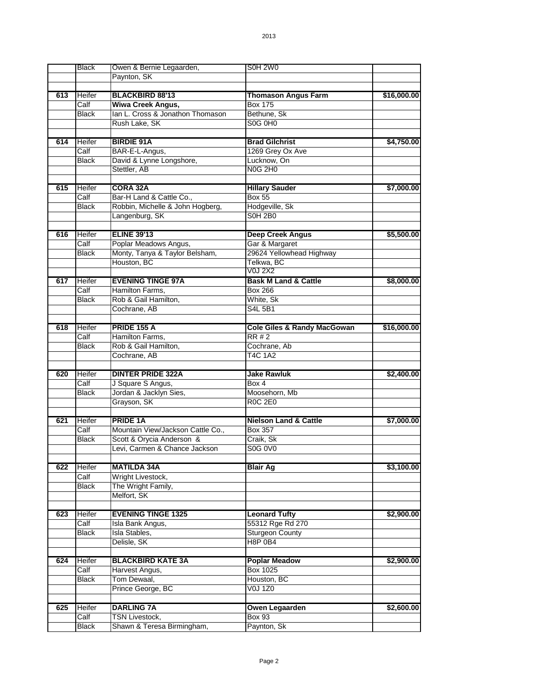|     | <b>Black</b>         | Owen & Bernie Legaarden,                            | <b>S0H 2W0</b>                         |             |
|-----|----------------------|-----------------------------------------------------|----------------------------------------|-------------|
|     |                      | Paynton, SK                                         |                                        |             |
|     |                      |                                                     |                                        |             |
| 613 | Heifer               | <b>BLACKBIRD 88'13</b>                              | <b>Thomason Angus Farm</b>             | \$16,000.00 |
|     | Calf                 | Wiwa Creek Angus,                                   | <b>Box 175</b>                         |             |
|     | <b>Black</b>         | Ian L. Cross & Jonathon Thomason                    | Bethune, Sk                            |             |
|     |                      | Rush Lake, SK                                       | S0G 0H0                                |             |
|     |                      |                                                     |                                        |             |
| 614 | Heifer               | <b>BIRDIE 91A</b>                                   | <b>Brad Gilchrist</b>                  | \$4,750.00  |
|     | Calf                 |                                                     | 1269 Grey Ox Ave                       |             |
|     |                      | BAR-E-L-Angus,                                      | Lucknow, On                            |             |
|     | Black                | David & Lynne Longshore,                            | <b>N0G 2H0</b>                         |             |
|     |                      | Stettler, AB                                        |                                        |             |
|     |                      |                                                     |                                        |             |
| 615 | Heifer               | <b>CORA 32A</b>                                     | <b>Hillary Sauder</b>                  | \$7,000.00  |
|     | Calf                 | Bar-H Land & Cattle Co.,                            | <b>Box 55</b>                          |             |
|     | <b>Black</b>         | Robbin, Michelle & John Hogberg,                    | Hodgeville, Sk                         |             |
|     |                      | Langenburg, SK                                      | <b>S0H 2B0</b>                         |             |
|     |                      |                                                     |                                        |             |
| 616 | Heifer               | <b>ELINE 39'13</b>                                  | <b>Deep Creek Angus</b>                | \$5,500.00  |
|     | Calf                 | Poplar Meadows Angus,                               | Gar & Margaret                         |             |
|     | <b>Black</b>         | Monty, Tanya & Taylor Belsham,                      | 29624 Yellowhead Highway               |             |
|     |                      | Houston, BC                                         | Telkwa, BC                             |             |
|     |                      |                                                     | <b>V0J 2X2</b>                         |             |
| 617 | Heifer               | <b>EVENING TINGE 97A</b>                            | <b>Bask M Land &amp; Cattle</b>        | \$8,000.00  |
|     | Calf                 | Hamilton Farms,                                     | Box 266                                |             |
|     | <b>Black</b>         | Rob & Gail Hamilton,                                | White, Sk                              |             |
|     |                      | Cochrane, AB                                        | <b>S4L 5B1</b>                         |             |
|     |                      |                                                     |                                        |             |
| 618 | Heifer               | <b>PRIDE 155 A</b>                                  | <b>Cole Giles &amp; Randy MacGowan</b> | \$16,000.00 |
|     | Calf                 | Hamilton Farms,                                     | RR#2                                   |             |
|     |                      |                                                     |                                        |             |
|     |                      |                                                     |                                        |             |
|     | Black                | Rob & Gail Hamilton,                                | Cochrane, Ab                           |             |
|     |                      | Cochrane, AB                                        | <b>T4C 1A2</b>                         |             |
|     |                      |                                                     |                                        |             |
| 620 | Heifer               | <b>DINTER PRIDE 322A</b>                            | <b>Jake Rawluk</b>                     | \$2,400.00  |
|     | Calf                 | J Square S Angus,                                   | Box 4                                  |             |
|     | Black                | Jordan & Jacklyn Sies,                              | Moosehorn, Mb                          |             |
|     |                      | Grayson, SK                                         | <b>R0C 2E0</b>                         |             |
|     |                      |                                                     |                                        |             |
| 621 | Heifer               | <b>PRIDE 1A</b>                                     | <b>Nielson Land &amp; Cattle</b>       | \$7,000.00  |
|     | Calf                 | Mountain View/Jackson Cattle Co.,                   | <b>Box 357</b>                         |             |
|     | <b>Black</b>         | Scott & Orycia Anderson &                           | Craik, Sk                              |             |
|     |                      | Levi, Carmen & Chance Jackson                       | S0G 0V0                                |             |
|     |                      |                                                     |                                        |             |
| 622 | Heifer               | <b>MATILDA 34A</b>                                  | <b>Blair Ag</b>                        | \$3,100.00  |
|     | Calf                 | Wright Livestock,                                   |                                        |             |
|     | <b>Black</b>         |                                                     |                                        |             |
|     |                      | The Wright Family,                                  |                                        |             |
|     |                      | Melfort, SK                                         |                                        |             |
|     |                      |                                                     |                                        |             |
| 623 | Heifer               | <b>EVENING TINGE 1325</b>                           | <b>Leonard Tufty</b>                   | \$2,900.00  |
|     | Calf                 | Isla Bank Angus,                                    | 55312 Rge Rd 270                       |             |
|     | <b>Black</b>         | Isla Stables,                                       | <b>Sturgeon County</b>                 |             |
|     |                      | Delisle, SK                                         | <b>H8P 0B4</b>                         |             |
|     |                      |                                                     |                                        |             |
| 624 | Heifer               | <b>BLACKBIRD KATE 3A</b>                            | <b>Poplar Meadow</b>                   | \$2,900.00  |
|     | Calf                 | Harvest Angus,                                      | <b>Box 1025</b>                        |             |
|     | <b>Black</b>         | Tom Dewaal,                                         | Houston, BC                            |             |
|     |                      | Prince George, BC                                   | <b>V0J 1Z0</b>                         |             |
|     |                      |                                                     |                                        |             |
| 625 | Heifer               | <b>DARLING 7A</b>                                   | Owen Legaarden                         | \$2,600.00  |
|     | Calf<br><b>Black</b> | <b>TSN Livestock,</b><br>Shawn & Teresa Birmingham, | <b>Box 93</b><br>Paynton, Sk           |             |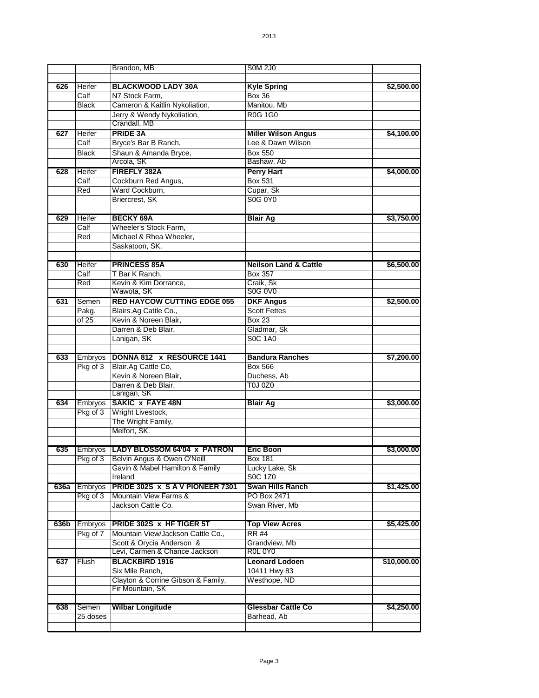|      |                | Brandon, MB                             | <b>SOM 2J0</b>                   |             |
|------|----------------|-----------------------------------------|----------------------------------|-------------|
|      |                |                                         |                                  |             |
| 626  | Heifer         | <b>BLACKWOOD LADY 30A</b>               | <b>Kyle Spring</b>               | \$2,500.00  |
|      | Calf           | N7 Stock Farm,                          | <b>Box 36</b>                    |             |
|      | <b>Black</b>   | Cameron & Kaitlin Nykoliation,          | Manitou, Mb                      |             |
|      |                | Jerry & Wendy Nykoliation,              | <b>R0G 1G0</b>                   |             |
|      |                | Crandall, MB                            |                                  |             |
| 627  | Heifer         | <b>PRIDE 3A</b>                         | <b>Miller Wilson Angus</b>       | \$4,100.00  |
|      | Calf           | Bryce's Bar B Ranch,                    | Lee & Dawn Wilson                |             |
|      | <b>Black</b>   | Shaun & Amanda Bryce,                   | <b>Box 550</b>                   |             |
|      |                | Arcola, SK                              | Bashaw, Ab                       |             |
| 628  | Heifer         | FIREFLY 382A                            | <b>Perry Hart</b>                | \$4,000.00  |
|      | Calf           | Cockburn Red Angus,                     | <b>Box 531</b>                   |             |
|      | Red            | Ward Cockburn,                          | Cupar, Sk                        |             |
|      |                | Briercrest, SK                          | S0G 0Y0                          |             |
|      |                |                                         |                                  |             |
| 629  | Heifer         | <b>BECKY 69A</b>                        | <b>Blair Ag</b>                  | \$3,750.00  |
|      | Calf           | Wheeler's Stock Farm,                   |                                  |             |
|      | Red            | Michael & Rhea Wheeler,                 |                                  |             |
|      |                | Saskatoon, SK.                          |                                  |             |
|      |                |                                         |                                  |             |
| 630  | Heifer         | <b>PRINCESS 85A</b>                     | <b>Neilson Land &amp; Cattle</b> | \$6,500.00  |
|      | Calf           | T Bar K Ranch,<br>Kevin & Kim Dorrance, | <b>Box 357</b>                   |             |
|      | Red            | Wawota, SK                              | Craik, Sk<br>S0G 0V0             |             |
| 631  | Semen          | <b>RED HAYCOW CUTTING EDGE 055</b>      | <b>DKF Angus</b>                 | \$2,500.00  |
|      | Pakg.          | Blairs.Ag Cattle Co.,                   | <b>Scott Fettes</b>              |             |
|      | of 25          | Kevin & Noreen Blair,                   | <b>Box 23</b>                    |             |
|      |                | Darren & Deb Blair,                     | Gladmar, Sk                      |             |
|      |                | Lanigan, SK                             | <b>S0C 1A0</b>                   |             |
|      |                |                                         |                                  |             |
| 633  | Embryos        | DONNA 812 x RESOURCE 1441               | <b>Bandura Ranches</b>           | \$7,200.00  |
|      | Pkg of 3       | Blair.Ag Cattle Co,                     | Box 566                          |             |
|      |                | Kevin & Noreen Blair,                   | Duchess, Ab                      |             |
|      |                | Darren & Deb Blair,                     | T0J 0Z0                          |             |
|      |                | Lanigan, SK                             |                                  |             |
| 634  | Embryos        | <b>SAKIC x FAYE 48N</b>                 | <b>Blair Ag</b>                  | \$3,000.00  |
|      | Pkg of 3       | Wright Livestock,                       |                                  |             |
|      |                | The Wright Family,                      |                                  |             |
|      |                | Melfort, SK.                            |                                  |             |
|      |                |                                         |                                  |             |
| 635  |                | Embryos   LADY BLOSSOM 64'04 x PATRON   | <b>Eric Boon</b>                 | \$3,000.00  |
|      | Pkg of 3       | Belvin Angus & Owen O'Neill             | Box 181                          |             |
|      |                | Gavin & Mabel Hamilton & Family         | Lucky Lake, Sk                   |             |
|      |                | Ireland                                 | S0C 1Z0                          |             |
| 636a | <b>Embryos</b> | PRIDE 302S x S A V PIONEER 7301         | <b>Swan Hills Ranch</b>          | \$1,425.00  |
|      | Pkg of 3       | Mountain View Farms &                   | PO Box 2471                      |             |
|      |                | Jackson Cattle Co.                      | Swan River, Mb                   |             |
|      |                |                                         |                                  |             |
| 636b | Embryos        | <b>PRIDE 302S x HF TIGER 5T</b>         | <b>Top View Acres</b>            | \$5,425.00  |
|      | Pkg of 7       | Mountain View/Jackson Cattle Co.,       | <b>RR #4</b>                     |             |
|      |                | Scott & Orycia Anderson &               | Grandview, Mb                    |             |
|      |                | Levi, Carmen & Chance Jackson           | R0L 0Y0                          |             |
| 637  | Flush          | <b>BLACKBIRD 1916</b>                   | <b>Leonard Lodoen</b>            | \$10,000.00 |
|      |                | Six Mile Ranch,                         | 10411 Hwy 83                     |             |
|      |                | Clayton & Corrine Gibson & Family,      | Westhope, ND                     |             |
|      |                | Fir Mountain, SK                        |                                  |             |
|      |                |                                         |                                  |             |
| 638  | Semen          | <b>Wilbar Longitude</b>                 | Glessbar Cattle Co               | \$4,250.00  |
|      | 25 doses       |                                         | Barhead, Ab                      |             |
|      |                |                                         |                                  |             |